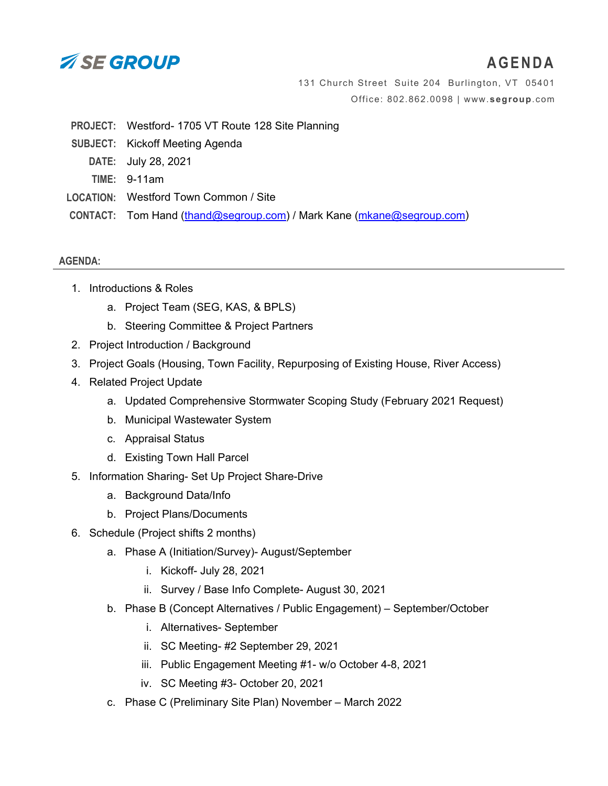

## **AGENDA**

131 Church Street Suite 204 Burlington, VT 05401 Office: 802.862.0098 | www.**[segroup](http://www.segroup.com/)**.com

- **PROJECT:** Westford- 1705 VT Route 128 Site Planning
- **SUBJECT:** Kickoff Meeting Agenda
	- **DATE:** July 28, 2021
	- **TIME:** 9-11am
- **LOCATION:** Westford Town Common / Site
- **CONTACT:** Tom Hand [\(thand@segroup.com\)](mailto:thand@segroup.com) / Mark Kane [\(mkane@segroup.com\)](mailto:mkane@segroup.com)

## **AGENDA:**

- 1. Introductions & Roles
	- a. Project Team (SEG, KAS, & BPLS)
	- b. Steering Committee & Project Partners
- 2. Project Introduction / Background
- 3. Project Goals (Housing, Town Facility, Repurposing of Existing House, River Access)
- 4. Related Project Update
	- a. Updated Comprehensive Stormwater Scoping Study (February 2021 Request)
	- b. Municipal Wastewater System
	- c. Appraisal Status
	- d. Existing Town Hall Parcel
- 5. Information Sharing- Set Up Project Share-Drive
	- a. Background Data/Info
	- b. Project Plans/Documents
- 6. Schedule (Project shifts 2 months)
	- a. Phase A (Initiation/Survey)- August/September
		- i. Kickoff- July 28, 2021
		- ii. Survey / Base Info Complete- August 30, 2021
	- b. Phase B (Concept Alternatives / Public Engagement) September/October
		- i. Alternatives- September
		- ii. SC Meeting- #2 September 29, 2021
		- iii. Public Engagement Meeting #1- w/o October 4-8, 2021
		- iv. SC Meeting #3- October 20, 2021
	- c. Phase C (Preliminary Site Plan) November March 2022